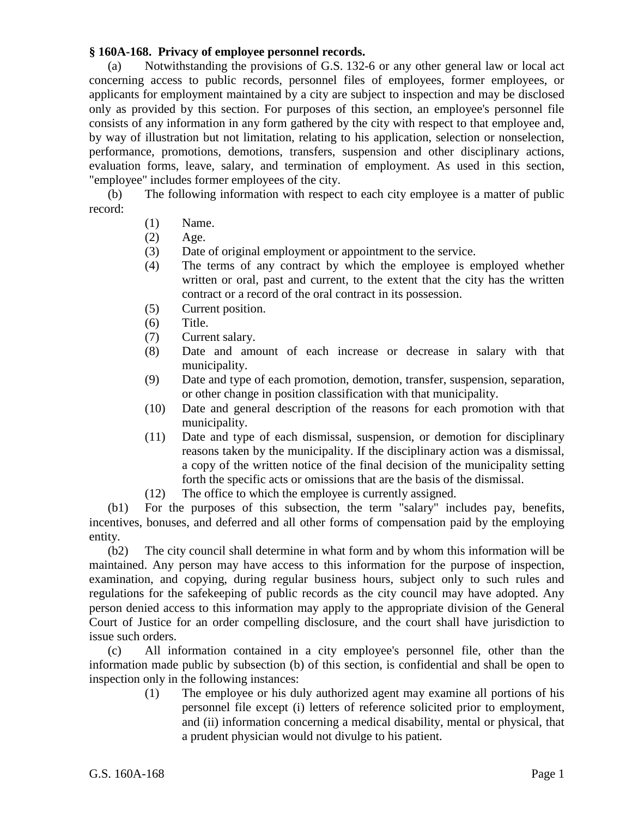## **§ 160A-168. Privacy of employee personnel records.**

(a) Notwithstanding the provisions of G.S. 132-6 or any other general law or local act concerning access to public records, personnel files of employees, former employees, or applicants for employment maintained by a city are subject to inspection and may be disclosed only as provided by this section. For purposes of this section, an employee's personnel file consists of any information in any form gathered by the city with respect to that employee and, by way of illustration but not limitation, relating to his application, selection or nonselection, performance, promotions, demotions, transfers, suspension and other disciplinary actions, evaluation forms, leave, salary, and termination of employment. As used in this section, "employee" includes former employees of the city.

(b) The following information with respect to each city employee is a matter of public record:

- (1) Name.
- (2) Age.
- (3) Date of original employment or appointment to the service.
- (4) The terms of any contract by which the employee is employed whether written or oral, past and current, to the extent that the city has the written contract or a record of the oral contract in its possession.
- (5) Current position.
- (6) Title.
- (7) Current salary.
- (8) Date and amount of each increase or decrease in salary with that municipality.
- (9) Date and type of each promotion, demotion, transfer, suspension, separation, or other change in position classification with that municipality.
- (10) Date and general description of the reasons for each promotion with that municipality.
- (11) Date and type of each dismissal, suspension, or demotion for disciplinary reasons taken by the municipality. If the disciplinary action was a dismissal, a copy of the written notice of the final decision of the municipality setting forth the specific acts or omissions that are the basis of the dismissal.
- (12) The office to which the employee is currently assigned.

(b1) For the purposes of this subsection, the term "salary" includes pay, benefits, incentives, bonuses, and deferred and all other forms of compensation paid by the employing entity.

(b2) The city council shall determine in what form and by whom this information will be maintained. Any person may have access to this information for the purpose of inspection, examination, and copying, during regular business hours, subject only to such rules and regulations for the safekeeping of public records as the city council may have adopted. Any person denied access to this information may apply to the appropriate division of the General Court of Justice for an order compelling disclosure, and the court shall have jurisdiction to issue such orders.

(c) All information contained in a city employee's personnel file, other than the information made public by subsection (b) of this section, is confidential and shall be open to inspection only in the following instances:

(1) The employee or his duly authorized agent may examine all portions of his personnel file except (i) letters of reference solicited prior to employment, and (ii) information concerning a medical disability, mental or physical, that a prudent physician would not divulge to his patient.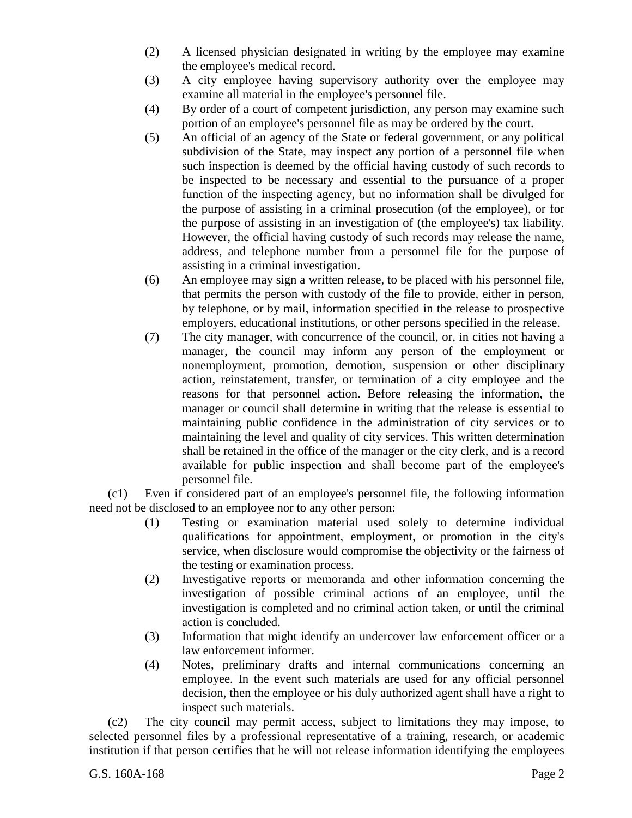- (2) A licensed physician designated in writing by the employee may examine the employee's medical record.
- (3) A city employee having supervisory authority over the employee may examine all material in the employee's personnel file.
- (4) By order of a court of competent jurisdiction, any person may examine such portion of an employee's personnel file as may be ordered by the court.
- (5) An official of an agency of the State or federal government, or any political subdivision of the State, may inspect any portion of a personnel file when such inspection is deemed by the official having custody of such records to be inspected to be necessary and essential to the pursuance of a proper function of the inspecting agency, but no information shall be divulged for the purpose of assisting in a criminal prosecution (of the employee), or for the purpose of assisting in an investigation of (the employee's) tax liability. However, the official having custody of such records may release the name, address, and telephone number from a personnel file for the purpose of assisting in a criminal investigation.
- (6) An employee may sign a written release, to be placed with his personnel file, that permits the person with custody of the file to provide, either in person, by telephone, or by mail, information specified in the release to prospective employers, educational institutions, or other persons specified in the release.
- (7) The city manager, with concurrence of the council, or, in cities not having a manager, the council may inform any person of the employment or nonemployment, promotion, demotion, suspension or other disciplinary action, reinstatement, transfer, or termination of a city employee and the reasons for that personnel action. Before releasing the information, the manager or council shall determine in writing that the release is essential to maintaining public confidence in the administration of city services or to maintaining the level and quality of city services. This written determination shall be retained in the office of the manager or the city clerk, and is a record available for public inspection and shall become part of the employee's personnel file.

(c1) Even if considered part of an employee's personnel file, the following information need not be disclosed to an employee nor to any other person:

- (1) Testing or examination material used solely to determine individual qualifications for appointment, employment, or promotion in the city's service, when disclosure would compromise the objectivity or the fairness of the testing or examination process.
- (2) Investigative reports or memoranda and other information concerning the investigation of possible criminal actions of an employee, until the investigation is completed and no criminal action taken, or until the criminal action is concluded.
- (3) Information that might identify an undercover law enforcement officer or a law enforcement informer.
- (4) Notes, preliminary drafts and internal communications concerning an employee. In the event such materials are used for any official personnel decision, then the employee or his duly authorized agent shall have a right to inspect such materials.

(c2) The city council may permit access, subject to limitations they may impose, to selected personnel files by a professional representative of a training, research, or academic institution if that person certifies that he will not release information identifying the employees